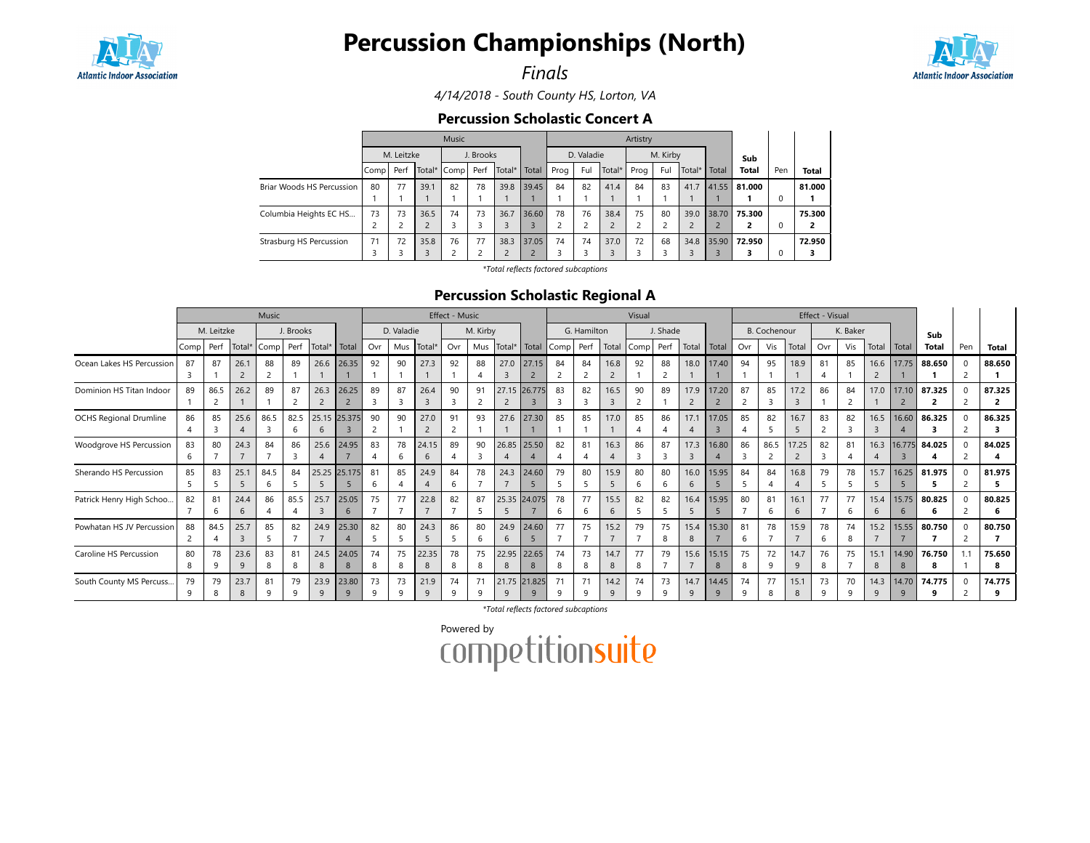

# Percussion Championships (North)

Finals



4/14/2018 - South County HS, Lorton, VA

#### Percussion Scholastic Concert A

|                           |      |            |                | <b>Music</b> |           |        |                |      |            | Artistry       |      |          |        |       |              |     |              |
|---------------------------|------|------------|----------------|--------------|-----------|--------|----------------|------|------------|----------------|------|----------|--------|-------|--------------|-----|--------------|
|                           |      | M. Leitzke |                |              | J. Brooks |        |                |      | D. Valadie |                |      | M. Kirby |        |       | Sub          |     |              |
|                           | Comp | Perf       |                | Total* Comp  | Perf      | Total* | Total          | Prog | Ful        | Total*         | Prog | Ful      | Total* | Total | <b>Total</b> | Pen | <b>Total</b> |
| Briar Woods HS Percussion | 80   | 77         | 39.1           | 82           | 78        | 39.8   | 39.45          | 84   | 82         | 41.4           | 84   | 83       | 41.7   | 41.55 | 81.000       |     | 81.000       |
|                           |      |            |                |              |           |        |                |      |            |                |      |          |        |       |              | 0   |              |
| Columbia Heights EC HS    | 73   | 73         | 36.5           | 74           | 73        | 36.7   | 36.60          | 78   | 76         | 38.4           | 75   | 80       | 39.0   | 38.70 | 75.300       |     | 75.300       |
|                           |      |            | $\overline{2}$ |              |           | 3      | 3              | 2    |            | $\overline{2}$ |      |          | 2      |       | 2            | 0   | 2            |
| Strasburg HS Percussion   | 71   | 72         | 35.8           | 76           | 77        | 38.3   | 37.05          | 74   | 74         | 37.0           | 72   | 68       | 34.8   | 35.90 | 72.950       |     | 72.950       |
|                           |      |            | 3              |              |           | 2      | $\overline{ }$ |      |            | 3              |      |          | 3      |       | 3            | 0   | 3            |

\*Total reflects factored subcaptions

### Percussion Scholastic Regional A

|                               |           |            | Music     |      |           |                      |                   |          |                | Effect - Music         |                      |          |                      |              |           |                | Visual    |         |          |                      |                         |         | Effect - Visual |                         |         |          |           |            |             |     |             |
|-------------------------------|-----------|------------|-----------|------|-----------|----------------------|-------------------|----------|----------------|------------------------|----------------------|----------|----------------------|--------------|-----------|----------------|-----------|---------|----------|----------------------|-------------------------|---------|-----------------|-------------------------|---------|----------|-----------|------------|-------------|-----|-------------|
|                               |           | M. Leitzke |           |      | J. Brooks |                      |                   |          | D. Valadie     |                        |                      | M. Kirby |                      |              |           | G. Hamilton    |           |         | J. Shade |                      |                         |         | B. Cochenour    |                         |         | K. Baker |           |            | Sub         |     |             |
|                               | Comp Perf |            | Total*    | Comp | Perf      | Total*               | Total             | Ovr      |                | Mus Total*             | Ovr                  |          | Mus Total* Total     |              | Comp Perf |                | Total     | Comp    | Perf     | Total                | Total                   | Ovr     | Vis             | Total                   | Ovr     | Vis      | Total     | l Total    | Total       | Pen | Total       |
| Ocean Lakes HS Percussion     | 87        | 87         | 26.1      | 88   | 89        | 26.6                 | 26.35             | 92       | 90             | 27.3                   | 92                   | 88       | 27.0                 | 27.15        | 84        | 84             | 16.8      | 92      | 88       | 18.0                 | 17.40                   | 94      | 95              | 18.9                    | 81      | 85       | 16.6      | 17.75      | 88.650      |     | 88.650      |
| Dominion HS Titan Indoor      | 89        | 86.5       | 26.2      | 89   | 87        | 26.3                 | 26.25             | 89       | 87             | 26.4<br>$\overline{3}$ | 90                   | 91       | $\overline{2}$       | 27.15 26.775 | 83        | 82             | 16.5      | 90      | 89       | 17.9                 | 17.20                   | 87<br>2 | 85              | 17.2                    | 86      | 84       | 17.0      | 17.10      | 87.325<br>2 |     | 87.325      |
| <b>OCHS Regional Drumline</b> | 86        | 85         | 25.6      | 86.5 | 82.5      | 6                    | 25.15 25.375      | 90       | 90             | 27.0<br>$\overline{2}$ | 91<br>$\overline{2}$ | 93       |                      | 27.6 27.30   | 85        | 85             | 17.0      | 85      | 86       | 17.1                 | 17.05<br>$\overline{3}$ | 85      | 82              | 16.7<br>5               | 83      | 82       | 16.5<br>3 | 16.60      | 86.325      |     | 86.325      |
| Woodgrove HS Percussion       | 83<br>6   | 80         | 24.3      | 84   | 86<br>3   | 25.6                 | 24.95             | 83       | 78             | 24.15<br>6             | 89                   | 90       |                      | 26.85 25.50  | 82        | 81             | 16.3      | 86      | 87<br>3  | 17.3<br>3            | 16.80                   | 86<br>3 | 86.5            | 17.25<br>$\overline{2}$ | 82      | 81       | 16.3      | 16.775     | 84.025<br>4 |     | 84.025      |
| Sherando HS Percussion        | 85        | 83         | 25.1      | 84.5 | 84        |                      | 25.25 25.175      | 81<br>6. | 85             | 24.9                   | 84<br>6              | 78       | 24.3                 | 24.60        | 79        | 80             | 15.9      | 80<br>6 | 80<br>6  | 16.0<br>6            | 15.95                   | 84      | 84              | 16.8                    | 79      | 78       | 15.7<br>5 | 16.25      | 81.975<br>5 |     | 81.975      |
| Patrick Henry High Schoo      | 82        | 81<br>6    | 24.4<br>6 | 86   | 85.5      | 25.7<br>3            | 25.05             | 75       | 77             | 22.8                   | 82                   | 87       |                      | 25.35 24.075 | 78        | 77<br>-6       | 15.5<br>6 | 82      | 82       | 16.4<br>5            | 15.95                   | 80      | 81<br>6         | 16.1<br>6               | 77      | 77<br>6  | 15.4<br>6 | 15.75      | 80.825<br>6 |     | 80.825<br>6 |
| Powhatan HS JV Percussion     | 88        | 84.5       | 25.7      | 85   | 82        | 24.9                 | 25.30             | 82       | 80             | 24.3<br>5              | 86<br>5              | 80       | 24.9<br>$\mathbf{b}$ | 24.60        | 77        | 75             | 15.2      | 79      | 75<br>8  | 15.4<br>8            | 15.30                   | 81<br>6 | 78              | 15.9                    | 78      | 74<br>8  | 15.2      | 15.55      | 80.750      |     | 80.750      |
| Caroline HS Percussion        | 80<br>8   | 78         | 23.6<br>9 | 83   | 81<br>8   | 24.5<br>8            | 24.05<br>8        | 74<br>8  | 75<br>8        | 22.35<br>8             | 78<br>8              | 75<br>8  | 22.95<br>8           | 22.65<br>8   | 74<br>-8  | 73<br>-8       | 14.7<br>8 | 77      | 79       | 15.6                 | 15.15<br>8              | 75<br>8 | 72<br>9         | 14.7<br>9               | 76<br>8 | 75       | 15.1<br>8 | 14.90<br>8 | 76.750<br>8 |     | 75.650<br>8 |
| South County MS Percuss       | 79        | 79         | 23.7<br>8 | 81   | 79<br>a   | 23.9<br>$\mathsf{q}$ | 23.80<br>$\Omega$ | 73<br>a  | 73<br>$\Omega$ | 21.9<br>$\mathsf{q}$   | 74<br>q              | 71<br>q  | 21.75 21.825<br>9    | q            | 71        | 71<br>$\alpha$ | 14.2<br>9 | 74      | 73<br>q  | 14.7<br>$\mathsf{Q}$ | 14.45<br>$\mathbf{Q}$   | 74<br>q | 77<br>8         | 15.1                    | 73      | 70<br>a  | 14.3<br>q | 14.70<br>q | 74.775<br>9 |     | 74.775      |

\*Total reflects factored subcaptions

Powered by<br>COMPetitionsuite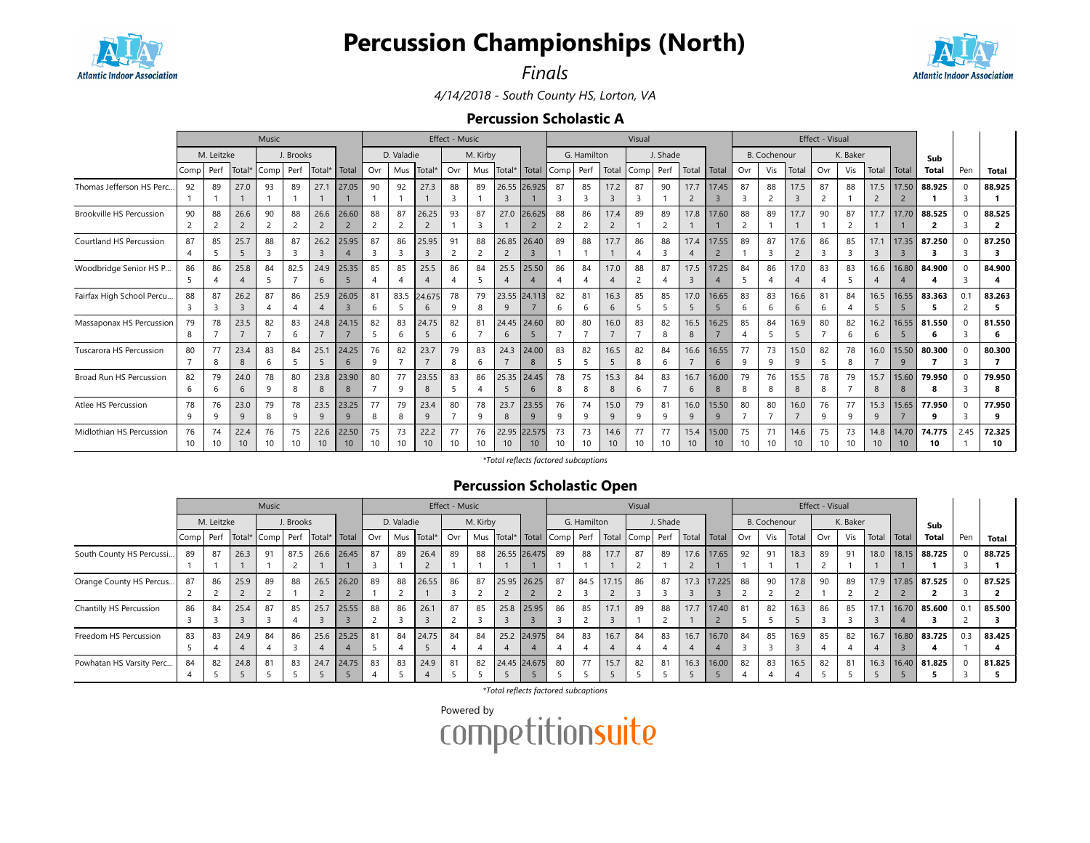

# Percussion Championships (North)



Finals

4/14/2018 - South County HS, Lorton, VA

#### Percussion Scholastic A

|                                 | Music          |            |                 |      |                |                 |       |     |            |                | Effect - Music |          |                |                 |              |                |                 | Visual |          |                 |                |                |                     | Effect - Visual             |                 |              |                 |                 |              |      |                |
|---------------------------------|----------------|------------|-----------------|------|----------------|-----------------|-------|-----|------------|----------------|----------------|----------|----------------|-----------------|--------------|----------------|-----------------|--------|----------|-----------------|----------------|----------------|---------------------|-----------------------------|-----------------|--------------|-----------------|-----------------|--------------|------|----------------|
|                                 |                | M. Leitzke |                 |      | J. Brooks      |                 |       |     | D. Valadie |                |                | M. Kirby |                |                 |              | G. Hamilton    |                 |        | J. Shade |                 |                |                | <b>B.</b> Cochenour |                             |                 | K. Baker     |                 |                 | Sub          |      |                |
|                                 | Comp           | Perf       | Total*          | Comp | Perf           | Total*          | Total | Ovr | Mus        | Total*         | Ovr            | Mus      | Total* Total   |                 | Comp Perf    |                | Total           | Comp   | Perf     | Total           | Total          | Ovr            | Vis                 | Total                       | Ovr             | Vis          | Total           | Total           | <b>Total</b> | Pen  | <b>Total</b>   |
| Thomas Jefferson HS Perc        | 92             | 89         | 27.0            | 93   | 89             | 27.1            | 27.05 | 90  | 92         | 27.3           | 88             | 89       |                | 26.55 26.925    | 87           | 85             | 17.2            | 87     | 90       | 17.7            | 17.45          | 87             | 88                  | 17.5                        | 87              | 88           | 17.5            | 17.50           | 88.925       |      | 88.925         |
|                                 |                |            |                 |      |                |                 |       |     |            |                | $\overline{3}$ |          | $\overline{3}$ |                 |              | 3              | $\overline{3}$  | 3      |          | $\overline{2}$  | $\overline{3}$ | 3              | $\overline{2}$      | $\overline{3}$              |                 |              | $\overline{c}$  |                 |              | 3    |                |
| <b>Brookville HS Percussion</b> | 90             | 88         | 26.6            | 90   | 88             | 26.6            | 26.60 | 88  | 87         | 26.25          | 93             | 87       | 27.0           | 26.625          | 88           | 86             | 17.4            | 89     | 89       | 17.8            | 17.60          | 88             | 89                  | 17.7                        | 90              | 87           | 17.7            | 17.70           | 88.525       |      | 88.525         |
|                                 |                |            |                 |      | $\overline{2}$ |                 |       |     | 2          | $\overline{2}$ |                | 3        |                |                 |              | $\overline{c}$ |                 |        |          |                 |                | $\overline{c}$ |                     |                             |                 |              |                 |                 | 2            |      | $\overline{2}$ |
| Courtland HS Percussion         | 87             | 85         | 25.7            | 88   | 87             | 26.2            | 25.95 | 87  | 86         | 25.95          | 91             | 88       |                | 26.85 26.40     | 89           | 88             | 17.7            | 86     | 88       | 17.4            | 17.55          | 89             | 87                  | 17.6                        | 86              | 85           | 17.1            | 17.35           | 87.250       |      | 87.250         |
|                                 |                |            |                 |      | 3              | $\overline{3}$  |       | 3   | 3          | $\overline{3}$ | 2              |          | $\overline{2}$ |                 |              |                |                 |        | 3        |                 | $\overline{2}$ |                | $\overline{3}$      | $\overline{2}$              | 3               |              | $\overline{3}$  |                 |              |      | 3              |
| Woodbridge Senior HS P          | 86             | 86         | 25.8            | 84   | 82.5           | 24.9            | 25.35 | 85  | 85         | 25.5           | 86             | 84       | 25.5           | 25.50           | 86           | 84             | 17.0            | 88     | 87       | 17.5            | 17.25          | 84             | 86                  | 17.0                        | 83              | 83           | 16.6            | 16.80           | 84.900       |      | 84.900         |
|                                 |                |            |                 |      |                | 6               |       | 4   |            | $\overline{A}$ | $\overline{A}$ |          |                |                 |              |                |                 | 2      | 4        | $\overline{3}$  |                | 5              |                     | $\boldsymbol{\vartriangle}$ |                 |              | $\overline{4}$  |                 |              |      |                |
| Fairfax High School Percu.      | 88             | 87         | 26.2            | 87   | 86             | 25.9            | 26.05 | 81  | 83.5       | 24.675         | 78             | 79       |                | 23.55 24.113    | 82           | 81             | 16.3            | 85     | 85       | 17.0            | 16.65          | 83             | 83                  | 16.6                        | 81              | 84           | 16.5            | 16.55           | 83.363       |      | 83.263         |
|                                 |                |            |                 |      |                |                 |       | 6   |            | 6              | q              |          |                |                 | 6            | 6              |                 |        |          | 5               | 5              | 6              |                     | 6                           | h               |              | 5               |                 |              |      | 5.             |
| Massaponax HS Percussion        | 79             | 78         | 23.5            | 82   | 83             | 24.8            | 24.15 | 82  | 83         | 24.75          | 82             | 81       |                | 24.45 24.60     | 80           | 80             | 16.0            | 83     | 82       | 16.5            | 16.25          | 85             | 84                  | 16.9                        | 80              | 82           | 16.2            | 16.55           | 81.550       |      | 81.550         |
|                                 | 8              |            |                 |      | 6              |                 |       |     | 6          | -5             | 6              |          | 6              |                 |              |                |                 |        | 8        | 8               |                |                |                     | 5                           |                 | 6            | 6               | 5               | 6            | 3    | 6              |
| <b>Tuscarora HS Percussion</b>  | 80             | 77         | 23.4            | 83   | 84             | 25.1            | 24.25 | 76  | 82         | 23.7           | 79             | 83       | 24.3           | 24.00           | 83           | 82             | 16.5            | 82     | 84       | 16.6            | 16.55          | 77             | 73                  | 15.0                        | 82              | 78           | 16.0            | 15.50           | 80.300       |      | 80.300         |
|                                 | $\overline{7}$ | 8          | 8               | 6    | 5              | 5               | 6     | 9   |            |                | 8              | 6        |                | 8               |              | 5              | -5              | 8      | 6        | $\overline{7}$  | 6              | 9              | 9                   | 9                           |                 | 8            |                 | 9               |              | 3    | 7              |
| Broad Run HS Percussion         | 82             | 79         | 24.0            | 78   | 80             | 23.8            | 23.90 | 80  | 77         | 23.55          | 83             | 86       | 25.35          | 24.45           | 78           | 75             | 15.3            | 84     | 83       | 16.7            | 16.00          | 79             | 76                  | 15.5                        | 78              | 79           | 15.7            | 15.60           | 79.950       |      | 79.950         |
|                                 |                | h          | 6               |      | -8             | 8               | 8     |     | 9          | 8              | 5              |          |                | $\mathbf{b}$    | 8            | -8             | 8               | 6      |          | 6               | 8              | 8              | $\mathbf{R}$        | 8                           | 8               |              | 8               | $\mathsf{R}$    | я            |      | 8              |
| Atlee HS Percussion             | 78             | 76         | 23.0            | 79   | 78             | 23.5            | 23.25 | 77  | 79         | 23.4           | 80             | 78       | 23.7           | 23.55           | 76           | 74             | 15.0            | 79     | 81       | 16.0            | 15.50          | 80             | 80                  | 16.0                        | 76              | 77           | 15.3            | 15.65           | 77.950       |      | 77.950         |
|                                 | 9              | 9          | 9               | 8    | 9              | 9               | 9     | 8   | 8          | 9              | $\overline{7}$ | 9        | 8              | 9               | <sup>9</sup> | 9              | 9               | 9      | 9        | 9               | 9              |                | $\overline{7}$      |                             | q               | <sup>9</sup> | 9               |                 | 9            |      | 9              |
| Midlothian HS Percussion        | 76             | 74         | 22.4            | 76   | 75             | 22.6            | 22.50 | 75  | 73         | 22.2           | 77             | 76       |                | 22.95 22.575    | 73           | 73             | 14.6            | 77     | 77       | 15.4            | 15.00          | 75             | 71                  | 14.6                        | 75              | 73           | 14.8            | 14.70           | 74.775       | 2.45 | 72.325         |
|                                 | 10             | 10         | 10 <sup>°</sup> |      | 10             | 10 <sup>°</sup> | 10    |     | 10         | 10             | 10             | 10       | 10             | 10 <sup>°</sup> | 10           | 10             | 10 <sup>°</sup> | 10     |          | 10 <sup>°</sup> | 10             | 10             | 10                  | 10                          | 10 <sup>1</sup> |              | 10 <sup>°</sup> | 10 <sup>°</sup> | 10           |      | 10             |

\*Total reflects factored subcaptions

### Percussion Scholastic Open

|                          |      |            |                | Music |           |                               |       |     |            |            | Effect - Music |          |              |        |      |             |            | Visual |          |               |             |     |                     |       | Effect - Visual |          |       |       |              |     |              |
|--------------------------|------|------------|----------------|-------|-----------|-------------------------------|-------|-----|------------|------------|----------------|----------|--------------|--------|------|-------------|------------|--------|----------|---------------|-------------|-----|---------------------|-------|-----------------|----------|-------|-------|--------------|-----|--------------|
|                          |      | M. Leitzke |                |       | J. Brooks |                               |       |     | D. Valadie |            |                | M. Kirby |              |        |      | G. Hamilton |            |        | J. Shade |               |             |     | <b>B.</b> Cochenour |       |                 | K. Baker |       |       | Sub          |     |              |
|                          | Comp | Perf       |                |       |           | Total* Comp Perf Total* Total |       | Ovr |            | Mus Total* | Ovr            | Mus      | Total*       | Total  | Comp | Perf        | Total Comp |        | Perf     | Total   Total |             | Ovr | Vis                 | Total | Ovr             | Vis      | Total | Total | <b>Total</b> | Pen | <b>Total</b> |
| South County HS Percussi | 89   | 87         | 26.3           | 91    | 87.5      | 26.6                          | 26.45 | 87  | 89         | 26.4       | 89             | 88       | 26.55 26.475 |        | 89   | 88          | 17.7       | 87     | 89       | 17.6          | 17.65       | 92  | 91                  | 18.3  | 89              | 91       | 18.0  | 18.15 | 88.725       |     | 88.725       |
|                          |      |            |                |       |           |                               |       |     |            |            |                |          |              |        |      |             |            |        |          |               |             |     |                     |       |                 |          |       |       |              |     |              |
| Orange County HS Percus  | 87   | 86         | 25.9           | 89    | 88        | 26.5                          | 26.20 | 89  | 88         | 26.55      | 86             | 87       | 25.95 26.25  |        | 87   | 84.5        | 17.15      | 86     | 87       |               | 17.3 17.225 | 88  | 90                  | 17.8  | 90              | 89       | 17.9  |       | 17.85 87.525 |     | 87.525       |
|                          |      |            |                |       |           |                               |       |     |            |            |                |          |              |        |      |             |            |        |          |               |             |     |                     |       |                 |          |       |       |              |     |              |
| Chantilly HS Percussion  | 86   | 84         | 25.4           | 87    | 85        | 25.7                          | 25.55 | 88  | 86         | 26.1       | 87             | 85       | 25.8         | 25.95  | 86   | 85          | 17.1       | 89     | 88       | 17.7          | 17.40       | 81  | 82                  | 16.3  | 86              | 85       | 17.1  | 16.70 | 85.600       | 0.1 | 85.500       |
|                          |      |            | $\overline{z}$ |       |           |                               |       |     |            |            |                |          |              |        |      |             |            |        |          |               |             |     |                     |       |                 |          |       |       |              |     |              |
| Freedom HS Percussion    | 83   | 83         | 24.9           | 84    | 86        | 25.6                          | 25.25 | 81  | 84         | 24.75      | 84             | 84       | 25.2         | 24.975 | - 84 | 83          | 16.7       | 84     | 83       | 16.7          | 16.70       | 84  | 85                  | 16.9  | 85              | 82       | 16.7  | 16.80 | 83.725       | 0.3 | 83.425       |
|                          |      |            |                |       |           |                               |       |     |            |            |                |          |              |        |      |             |            |        |          |               |             |     |                     |       |                 |          |       |       |              |     |              |
| Powhatan HS Varsity Perc | 84   | 82         | 24.8           | 81    | 83        | 24.7                          | 24.75 | 83  | 83         | 24.9       | 81             | 82       | 24.45 24.675 |        | - 80 | 77          | 15.7       | 82     | 81       | 16.3          | 16.00       | 82  | 83                  | 16.5  | 82              | 81       | 16.3  |       | 16.40 81.825 |     | 81.825       |
|                          |      |            |                |       |           |                               |       |     |            |            |                |          |              |        |      |             |            |        |          |               |             |     |                     |       |                 |          |       |       |              |     |              |

\*Total reflects factored subcaptions